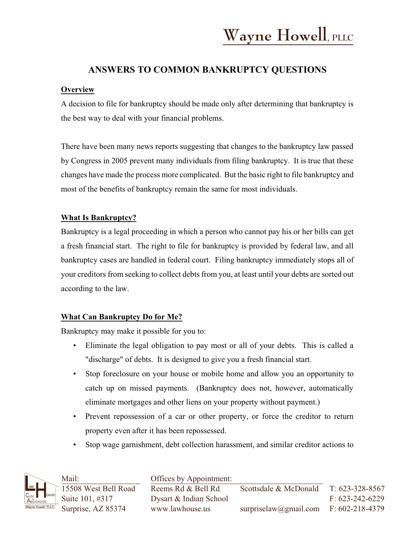# **ANSWERS TO COMMON BANKRUPTCY QUESTIONS**

### **Overview**

A decision to file for bankruptcy should be made only after determining that bankruptcy is the best way to deal with your financial problems.

There have been many news reports suggesting that changes to the bankruptcy law passed by Congress in 2005 prevent many individuals from filing bankruptcy. It is true that these changes have made the process more complicated. But the basic right to file bankruptcy and most of the benefits of bankruptcy remain the same for most individuals.

### **What Is Bankruptcy?**

Bankruptcy is a legal proceeding in which a person who cannot pay his or her bills can get a fresh financial start. The right to file for bankruptcy is provided by federal law, and all bankruptcy cases are handled in federal court. Filing bankruptcy immediately stops all of your creditors from seeking to collect debts from you, at least until your debts are sorted out according to the law.

# **What Can Bankruptcy Do for Me?**

Bankruptcy may make it possible for you to:

- Eliminate the legal obligation to pay most or all of your debts. This is called a "discharge" of debts. It is designed to give you a fresh financial start.
- Stop foreclosure on your house or mobile home and allow you an opportunity to catch up on missed payments. (Bankruptcy does not, however, automatically eliminate mortgages and other liens on your property without payment.)
- Prevent repossession of a car or other property, or force the creditor to return property even after it has been repossessed.
- Stop wage garnishment, debt collection harassment, and similar creditor actions to

|                    | Mail:                                                                                                                          | Offices by Appointment: |                                         |                       |
|--------------------|--------------------------------------------------------------------------------------------------------------------------------|-------------------------|-----------------------------------------|-----------------------|
|                    |                                                                                                                                | Reems Rd & Bell Rd      | Scottsdale & McDonald                   | T: 623-328-8567       |
|                    | $\left[\begin{array}{c}\text{W} \\ \text{C}_{\text{ASA}} \\ \text{A}_{\text{BSQADOS}} \end{array}\right]$ 15508 West Bell Road | Dysart & Indian School  |                                         | $F: 623 - 242 - 6229$ |
| Wayne Howell, PLLC | Surprise, AZ 85374                                                                                                             | www.lawhouse.us         | surpriselaw@gmail.com $F: 602-218-4379$ |                       |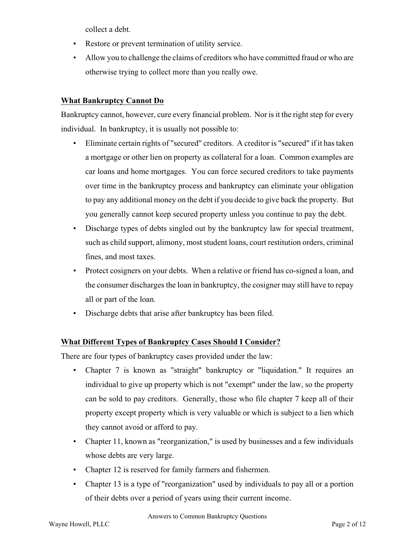collect a debt.

- Restore or prevent termination of utility service.
- Allow you to challenge the claims of creditors who have committed fraud or who are otherwise trying to collect more than you really owe.

### **What Bankruptcy Cannot Do**

Bankruptcy cannot, however, cure every financial problem. Nor is it the right step for every individual. In bankruptcy, it is usually not possible to:

- Eliminate certain rights of "secured" creditors. A creditor is "secured" if it has taken a mortgage or other lien on property as collateral for a loan. Common examples are car loans and home mortgages. You can force secured creditors to take payments over time in the bankruptcy process and bankruptcy can eliminate your obligation to pay any additional money on the debt if you decide to give back the property. But you generally cannot keep secured property unless you continue to pay the debt.
- Discharge types of debts singled out by the bankruptcy law for special treatment, such as child support, alimony, most student loans, court restitution orders, criminal fines, and most taxes.
- Protect cosigners on your debts. When a relative or friend has co-signed a loan, and the consumer discharges the loan in bankruptcy, the cosigner may still have to repay all or part of the loan.
- Discharge debts that arise after bankruptcy has been filed.

### **What Different Types of Bankruptcy Cases Should I Consider?**

There are four types of bankruptcy cases provided under the law:

- Chapter 7 is known as "straight" bankruptcy or "liquidation." It requires an individual to give up property which is not "exempt" under the law, so the property can be sold to pay creditors. Generally, those who file chapter 7 keep all of their property except property which is very valuable or which is subject to a lien which they cannot avoid or afford to pay.
- Chapter 11, known as "reorganization," is used by businesses and a few individuals whose debts are very large.
- Chapter 12 is reserved for family farmers and fishermen.
- Chapter 13 is a type of "reorganization" used by individuals to pay all or a portion of their debts over a period of years using their current income.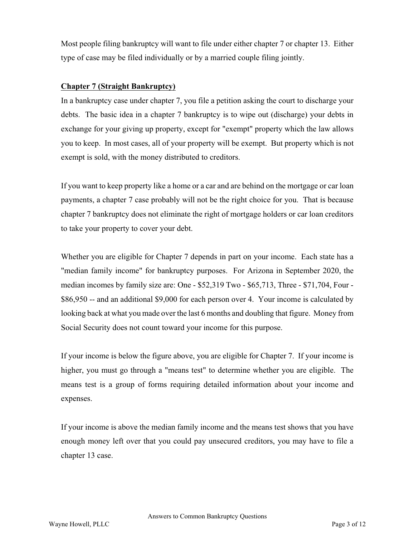Most people filing bankruptcy will want to file under either chapter 7 or chapter 13. Either type of case may be filed individually or by a married couple filing jointly.

### **Chapter 7 (Straight Bankruptcy)**

In a bankruptcy case under chapter 7, you file a petition asking the court to discharge your debts. The basic idea in a chapter 7 bankruptcy is to wipe out (discharge) your debts in exchange for your giving up property, except for "exempt" property which the law allows you to keep. In most cases, all of your property will be exempt. But property which is not exempt is sold, with the money distributed to creditors.

If you want to keep property like a home or a car and are behind on the mortgage or car loan payments, a chapter 7 case probably will not be the right choice for you. That is because chapter 7 bankruptcy does not eliminate the right of mortgage holders or car loan creditors to take your property to cover your debt.

Whether you are eligible for Chapter 7 depends in part on your income. Each state has a "median family income" for bankruptcy purposes. For Arizona in September 2020, the median incomes by family size are: One - \$52,319 Two - \$65,713, Three - \$71,704, Four - \$86,950 -- and an additional \$9,000 for each person over 4. Your income is calculated by looking back at what you made over the last 6 months and doubling that figure. Money from Social Security does not count toward your income for this purpose.

If your income is below the figure above, you are eligible for Chapter 7. If your income is higher, you must go through a "means test" to determine whether you are eligible. The means test is a group of forms requiring detailed information about your income and expenses.

If your income is above the median family income and the means test shows that you have enough money left over that you could pay unsecured creditors, you may have to file a chapter 13 case.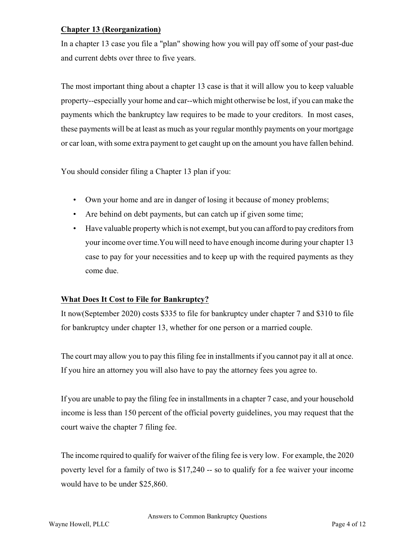#### **Chapter 13 (Reorganization)**

In a chapter 13 case you file a "plan" showing how you will pay off some of your past-due and current debts over three to five years.

The most important thing about a chapter 13 case is that it will allow you to keep valuable property--especially your home and car--which might otherwise be lost, if you can make the payments which the bankruptcy law requires to be made to your creditors. In most cases, these payments will be at least as much as your regular monthly payments on your mortgage or car loan, with some extra payment to get caught up on the amount you have fallen behind.

You should consider filing a Chapter 13 plan if you:

- Own your home and are in danger of losing it because of money problems;
- Are behind on debt payments, but can catch up if given some time;
- Have valuable property which is not exempt, but you can afford to pay creditors from your income over time.You will need to have enough income during your chapter 13 case to pay for your necessities and to keep up with the required payments as they come due.

### **What Does It Cost to File for Bankruptcy?**

It now(September 2020) costs \$335 to file for bankruptcy under chapter 7 and \$310 to file for bankruptcy under chapter 13, whether for one person or a married couple.

The court may allow you to pay this filing fee in installments if you cannot pay it all at once. If you hire an attorney you will also have to pay the attorney fees you agree to.

If you are unable to pay the filing fee in installments in a chapter 7 case, and your household income is less than 150 percent of the official poverty guidelines, you may request that the court waive the chapter 7 filing fee.

The income rquired to qualify for waiver of the filing fee is very low. For example, the 2020 poverty level for a family of two is \$17,240 -- so to qualify for a fee waiver your income would have to be under \$25,860.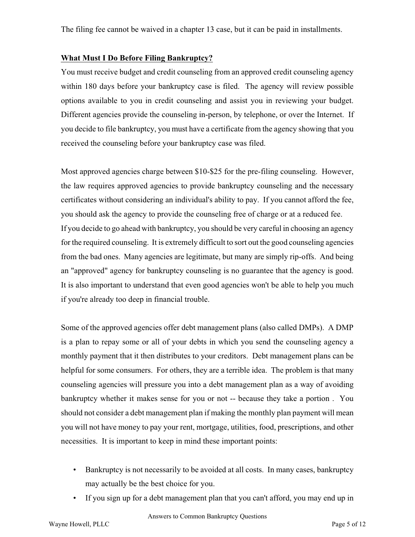The filing fee cannot be waived in a chapter 13 case, but it can be paid in installments.

#### **What Must I Do Before Filing Bankruptcy?**

You must receive budget and credit counseling from an approved credit counseling agency within 180 days before your bankruptcy case is filed. The agency will review possible options available to you in credit counseling and assist you in reviewing your budget. Different agencies provide the counseling in-person, by telephone, or over the Internet. If you decide to file bankruptcy, you must have a certificate from the agency showing that you received the counseling before your bankruptcy case was filed.

Most approved agencies charge between \$10-\$25 for the pre-filing counseling. However, the law requires approved agencies to provide bankruptcy counseling and the necessary certificates without considering an individual's ability to pay. If you cannot afford the fee, you should ask the agency to provide the counseling free of charge or at a reduced fee. If you decide to go ahead with bankruptcy, you should be very careful in choosing an agency for the required counseling. It is extremely difficult to sort out the good counseling agencies from the bad ones. Many agencies are legitimate, but many are simply rip-offs. And being an "approved" agency for bankruptcy counseling is no guarantee that the agency is good. It is also important to understand that even good agencies won't be able to help you much if you're already too deep in financial trouble.

Some of the approved agencies offer debt management plans (also called DMPs). A DMP is a plan to repay some or all of your debts in which you send the counseling agency a monthly payment that it then distributes to your creditors. Debt management plans can be helpful for some consumers. For others, they are a terrible idea. The problem is that many counseling agencies will pressure you into a debt management plan as a way of avoiding bankruptcy whether it makes sense for you or not -- because they take a portion . You should not consider a debt management plan if making the monthly plan payment will mean you will not have money to pay your rent, mortgage, utilities, food, prescriptions, and other necessities. It is important to keep in mind these important points:

- Bankruptcy is not necessarily to be avoided at all costs. In many cases, bankruptcy may actually be the best choice for you.
- If you sign up for a debt management plan that you can't afford, you may end up in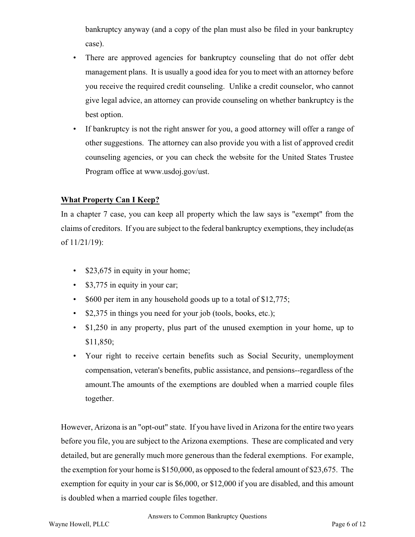bankruptcy anyway (and a copy of the plan must also be filed in your bankruptcy case).

- There are approved agencies for bankruptcy counseling that do not offer debt management plans. It is usually a good idea for you to meet with an attorney before you receive the required credit counseling. Unlike a credit counselor, who cannot give legal advice, an attorney can provide counseling on whether bankruptcy is the best option.
- If bankruptcy is not the right answer for you, a good attorney will offer a range of other suggestions. The attorney can also provide you with a list of approved credit counseling agencies, or you can check the website for the United States Trustee Program office at www.usdoj.gov/ust.

### **What Property Can I Keep?**

In a chapter 7 case, you can keep all property which the law says is "exempt" from the claims of creditors. If you are subject to the federal bankruptcy exemptions, they include(as of 11/21/19):

- \$23,675 in equity in your home;
- \$3,775 in equity in your car;
- \$600 per item in any household goods up to a total of \$12,775;
- \$2,375 in things you need for your job (tools, books, etc.);
- \$1,250 in any property, plus part of the unused exemption in your home, up to \$11,850;
- Your right to receive certain benefits such as Social Security, unemployment compensation, veteran's benefits, public assistance, and pensions--regardless of the amount.The amounts of the exemptions are doubled when a married couple files together.

However, Arizona is an "opt-out" state. If you have lived in Arizona for the entire two years before you file, you are subject to the Arizona exemptions. These are complicated and very detailed, but are generally much more generous than the federal exemptions. For example, the exemption for your home is \$150,000, as opposed to the federal amount of \$23,675. The exemption for equity in your car is \$6,000, or \$12,000 if you are disabled, and this amount is doubled when a married couple files together.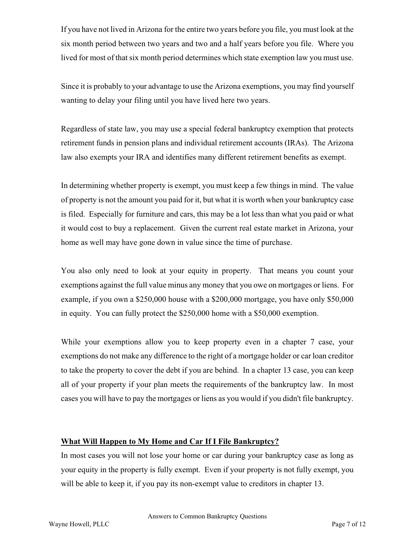If you have not lived in Arizona for the entire two years before you file, you must look at the six month period between two years and two and a half years before you file. Where you lived for most of that six month period determines which state exemption law you must use.

Since it is probably to your advantage to use the Arizona exemptions, you may find yourself wanting to delay your filing until you have lived here two years.

Regardless of state law, you may use a special federal bankruptcy exemption that protects retirement funds in pension plans and individual retirement accounts (IRAs). The Arizona law also exempts your IRA and identifies many different retirement benefits as exempt.

In determining whether property is exempt, you must keep a few things in mind. The value of property is not the amount you paid for it, but what it is worth when your bankruptcy case is filed. Especially for furniture and cars, this may be a lot less than what you paid or what it would cost to buy a replacement. Given the current real estate market in Arizona, your home as well may have gone down in value since the time of purchase.

You also only need to look at your equity in property. That means you count your exemptions against the full value minus any money that you owe on mortgages or liens. For example, if you own a \$250,000 house with a \$200,000 mortgage, you have only \$50,000 in equity. You can fully protect the \$250,000 home with a \$50,000 exemption.

While your exemptions allow you to keep property even in a chapter 7 case, your exemptions do not make any difference to the right of a mortgage holder or car loan creditor to take the property to cover the debt if you are behind. In a chapter 13 case, you can keep all of your property if your plan meets the requirements of the bankruptcy law. In most cases you will have to pay the mortgages or liens as you would if you didn't file bankruptcy.

#### **What Will Happen to My Home and Car If I File Bankruptcy?**

In most cases you will not lose your home or car during your bankruptcy case as long as your equity in the property is fully exempt. Even if your property is not fully exempt, you will be able to keep it, if you pay its non-exempt value to creditors in chapter 13.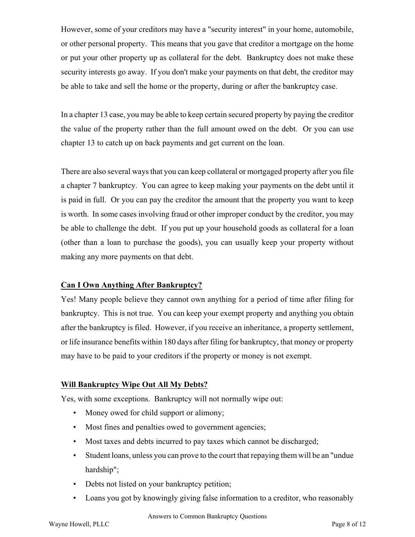However, some of your creditors may have a "security interest" in your home, automobile, or other personal property. This means that you gave that creditor a mortgage on the home or put your other property up as collateral for the debt. Bankruptcy does not make these security interests go away. If you don't make your payments on that debt, the creditor may be able to take and sell the home or the property, during or after the bankruptcy case.

In a chapter 13 case, you may be able to keep certain secured property by paying the creditor the value of the property rather than the full amount owed on the debt. Or you can use chapter 13 to catch up on back payments and get current on the loan.

There are also several ways that you can keep collateral or mortgaged property after you file a chapter 7 bankruptcy. You can agree to keep making your payments on the debt until it is paid in full. Or you can pay the creditor the amount that the property you want to keep is worth. In some cases involving fraud or other improper conduct by the creditor, you may be able to challenge the debt. If you put up your household goods as collateral for a loan (other than a loan to purchase the goods), you can usually keep your property without making any more payments on that debt.

### **Can I Own Anything After Bankruptcy?**

Yes! Many people believe they cannot own anything for a period of time after filing for bankruptcy. This is not true. You can keep your exempt property and anything you obtain after the bankruptcy is filed. However, if you receive an inheritance, a property settlement, or life insurance benefits within 180 days after filing for bankruptcy, that money or property may have to be paid to your creditors if the property or money is not exempt.

### **Will Bankruptcy Wipe Out All My Debts?**

Yes, with some exceptions. Bankruptcy will not normally wipe out:

- Money owed for child support or alimony;
- Most fines and penalties owed to government agencies;
- Most taxes and debts incurred to pay taxes which cannot be discharged;
- Student loans, unless you can prove to the court that repaying them will be an "undue hardship";
- Debts not listed on your bankruptcy petition;
- Loans you got by knowingly giving false information to a creditor, who reasonably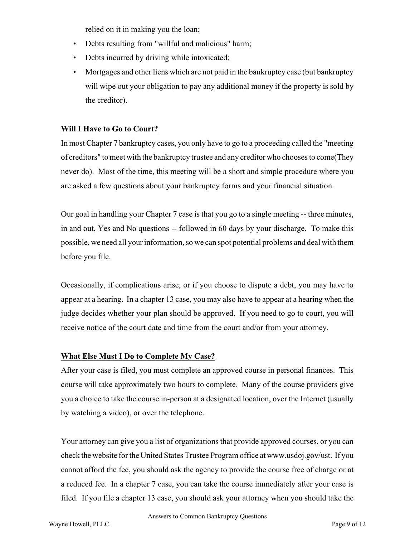relied on it in making you the loan;

- Debts resulting from "willful and malicious" harm;
- Debts incurred by driving while intoxicated;
- Mortgages and other liens which are not paid in the bankruptcy case (but bankruptcy will wipe out your obligation to pay any additional money if the property is sold by the creditor).

### **Will I Have to Go to Court?**

In most Chapter 7 bankruptcy cases, you only have to go to a proceeding called the "meeting of creditors" to meet with the bankruptcy trustee and any creditor who chooses to come(They never do). Most of the time, this meeting will be a short and simple procedure where you are asked a few questions about your bankruptcy forms and your financial situation.

Our goal in handling your Chapter 7 case is that you go to a single meeting -- three minutes, in and out, Yes and No questions -- followed in 60 days by your discharge. To make this possible, we need all your information, so we can spot potential problems and deal with them before you file.

Occasionally, if complications arise, or if you choose to dispute a debt, you may have to appear at a hearing. In a chapter 13 case, you may also have to appear at a hearing when the judge decides whether your plan should be approved. If you need to go to court, you will receive notice of the court date and time from the court and/or from your attorney.

# **What Else Must I Do to Complete My Case?**

After your case is filed, you must complete an approved course in personal finances. This course will take approximately two hours to complete. Many of the course providers give you a choice to take the course in-person at a designated location, over the Internet (usually by watching a video), or over the telephone.

Your attorney can give you a list of organizations that provide approved courses, or you can check the website for the United States Trustee Programoffice at www.usdoj.gov/ust. If you cannot afford the fee, you should ask the agency to provide the course free of charge or at a reduced fee. In a chapter 7 case, you can take the course immediately after your case is filed. If you file a chapter 13 case, you should ask your attorney when you should take the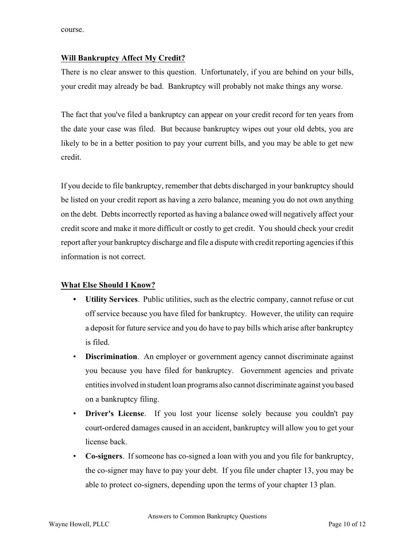course.

### **Will Bankruptcy Affect My Credit?**

There is no clear answer to this question. Unfortunately, if you are behind on your bills, your credit may already be bad. Bankruptcy will probably not make things any worse.

The fact that you've filed a bankruptcy can appear on your credit record for ten years from the date your case was filed. But because bankruptcy wipes out your old debts, you are likely to be in a better position to pay your current bills, and you may be able to get new credit.

If you decide to file bankruptcy, remember that debts discharged in your bankruptcy should be listed on your credit report as having a zero balance, meaning you do not own anything on the debt. Debts incorrectly reported as having a balance owed will negatively affect your credit score and make it more difficult or costly to get credit. You should check your credit report after your bankruptcy discharge and file a dispute with credit reporting agencies if this information is not correct.

### **What Else Should I Know?**

- **• Utility Services**. Public utilities, such as the electric company, cannot refuse or cut off service because you have filed for bankruptcy. However, the utility can require a deposit for future service and you do have to pay bills which arise after bankruptcy is filed.
- **Discrimination**. An employer or government agency cannot discriminate against you because you have filed for bankruptcy. Government agencies and private entities involved in student loan programs also cannot discriminate against you based on a bankruptcy filing.
- **Driver's License**. If you lost your license solely because you couldn't pay court-ordered damages caused in an accident, bankruptcy will allow you to get your license back.
- **Co-signers**. If someone has co-signed a loan with you and you file for bankruptcy, the co-signer may have to pay your debt. If you file under chapter 13, you may be able to protect co-signers, depending upon the terms of your chapter 13 plan.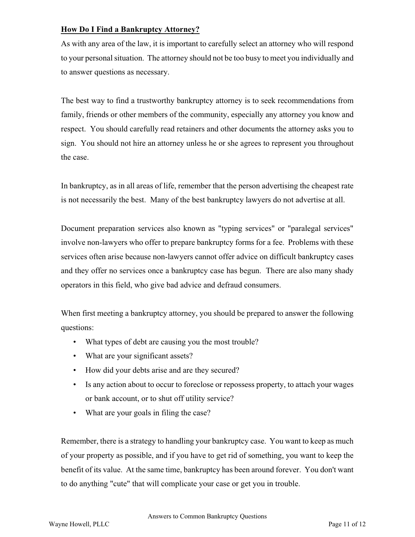### **How Do I Find a Bankruptcy Attorney?**

As with any area of the law, it is important to carefully select an attorney who will respond to your personal situation. The attorney should not be too busy to meet you individually and to answer questions as necessary.

The best way to find a trustworthy bankruptcy attorney is to seek recommendations from family, friends or other members of the community, especially any attorney you know and respect. You should carefully read retainers and other documents the attorney asks you to sign. You should not hire an attorney unless he or she agrees to represent you throughout the case.

In bankruptcy, as in all areas of life, remember that the person advertising the cheapest rate is not necessarily the best. Many of the best bankruptcy lawyers do not advertise at all.

Document preparation services also known as "typing services" or "paralegal services" involve non-lawyers who offer to prepare bankruptcy forms for a fee. Problems with these services often arise because non-lawyers cannot offer advice on difficult bankruptcy cases and they offer no services once a bankruptcy case has begun. There are also many shady operators in this field, who give bad advice and defraud consumers.

When first meeting a bankruptcy attorney, you should be prepared to answer the following questions:

- What types of debt are causing you the most trouble?
- What are your significant assets?
- How did your debts arise and are they secured?
- Is any action about to occur to foreclose or repossess property, to attach your wages or bank account, or to shut off utility service?
- What are your goals in filing the case?

Remember, there is a strategy to handling your bankruptcy case. You want to keep as much of your property as possible, and if you have to get rid of something, you want to keep the benefit of its value. At the same time, bankruptcy has been around forever. You don't want to do anything "cute" that will complicate your case or get you in trouble.